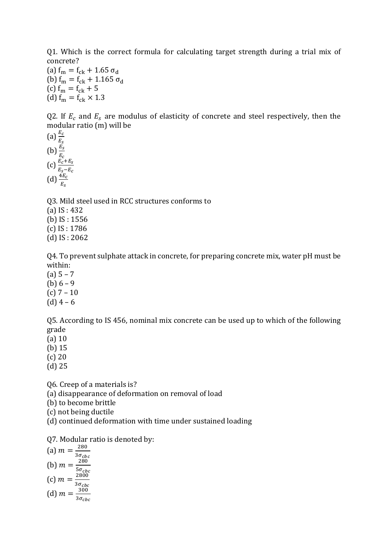Q1. Which is the correct formula for calculating target strength during a trial mix of concrete?

(a)  $f_m = f_{ck} + 1.65 \sigma_d$ (b)  $f_m = f_{ck} + 1.165 \sigma_d$ (c)  $f_m = f_{ck} + 5$ (d)  $f_m = f_{ck} \times 1.3$ 

Q2. If  $E_c$  and  $E_s$  are modulus of elasticity of concrete and steel respectively, then the modular ratio (m) will be

(a)  $\frac{E_c}{E_S}$ (b)  $\frac{E_S}{E_C}$  $(c)$   $\frac{E_c + E_s}{E_s - E_c}$ (d)  $\frac{4E_c}{E_S}$ 

Q3. Mild steel used in RCC structures conforms to (a) IS : 432 (b) IS : 1556 (c) IS : 1786 (d) IS : 2062

Q4. To prevent sulphate attack in concrete, for preparing concrete mix, water pH must be within:

- $(a) 5 7$ (b)  $6 - 9$ (c)  $7 - 10$
- (d) 4 6

Q5. According to IS 456, nominal mix concrete can be used up to which of the following grade

(a) 10

(b) 15

- (c) 20
- (d) 25

Q6. Creep of a materials is?

(a) disappearance of deformation on removal of load

(b) to become brittle

(c) not being ductile

(d) continued deformation with time under sustained loading

Q7. Modular ratio is denoted by:

(a)  $m = \frac{280}{35}$  $3\sigma_{cbc}$ (b)  $m = \frac{280}{55}$  $5\sigma_{cbc}$ (c)  $m = \frac{2800}{35}$  $3\sigma_{cbc}$ (d)  $m = \frac{300}{35}$  $3\sigma_{cbc}$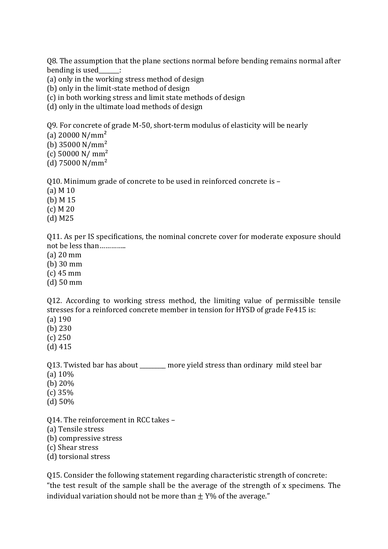Q8. The assumption that the plane sections normal before bending remains normal after bending is used :

(a) only in the working stress method of design

(b) only in the limit-state method of design

(c) in both working stress and limit state methods of design

(d) only in the ultimate load methods of design

Q9. For concrete of grade M-50, short-term modulus of elasticity will be nearly

(a)  $20000 \text{ N/mm}^2$ 

(b)  $35000 \text{ N/mm}^2$ 

 $(c)$  50000 N/ mm<sup>2</sup>

(d)  $75000 \text{ N/mm}^2$ 

Q10. Minimum grade of concrete to be used in reinforced concrete is –

(a) M 10

(b) M 15

(c) M 20

(d) M25

Q11. As per IS specifications, the nominal concrete cover for moderate exposure should not be less than…………..

(a) 20 mm

(b) 30 mm

(c) 45 mm

(d) 50 mm

Q12. According to working stress method, the limiting value of permissible tensile stresses for a reinforced concrete member in tension for HYSD of grade Fe415 is:

(a) 190

(b) 230

(c) 250

(d) 415

Q13. Twisted bar has about \_\_\_\_\_\_\_\_ more yield stress than ordinary mild steel bar (a) 10%

(b) 20%

(c) 35%

(d) 50%

Q14. The reinforcement in RCC takes –

(a) Tensile stress

(b) compressive stress

(c) Shear stress

(d) torsional stress

Q15. Consider the following statement regarding characteristic strength of concrete: "the test result of the sample shall be the average of the strength of x specimens. The individual variation should not be more than  $+$  Y% of the average."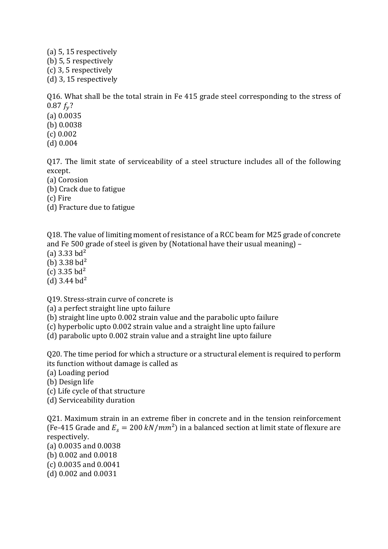(a) 5, 15 respectively (b) 5, 5 respectively (c) 3, 5 respectively (d) 3, 15 respectively

Q16. What shall be the total strain in Fe 415 grade steel corresponding to the stress of  $0.87 f_v$ ?

(a) 0.0035 (b) 0.0038 (c) 0.002 (d) 0.004

Q17. The limit state of serviceability of a steel structure includes all of the following except.

(a) Corosion

(b) Crack due to fatigue

(c) Fire

(d) Fracture due to fatigue

Q18. The value of limiting moment of resistance of a RCC beam for M25 grade of concrete and Fe 500 grade of steel is given by (Notational have their usual meaning) –

(a)  $3.33$  bd<sup>2</sup>

(b)  $3.38$  bd<sup>2</sup>

(c)  $3.35$  bd<sup>2</sup>

(d)  $3.44$  bd<sup>2</sup>

Q19. Stress-strain curve of concrete is

(a) a perfect straight line upto failure

(b) straight line upto 0.002 strain value and the parabolic upto failure

(c) hyperbolic upto 0.002 strain value and a straight line upto failure

(d) parabolic upto 0.002 strain value and a straight line upto failure

Q20. The time period for which a structure or a structural element is required to perform its function without damage is called as

(a) Loading period

(b) Design life

(c) Life cycle of that structure

(d) Serviceability duration

Q21. Maximum strain in an extreme fiber in concrete and in the tension reinforcement (Fe-415 Grade and  $E_s = 200 \ kN/mm^2$ ) in a balanced section at limit state of flexure are respectively.

(a) 0.0035 and 0.0038

(b) 0.002 and 0.0018

(c) 0.0035 and 0.0041

(d) 0.002 and 0.0031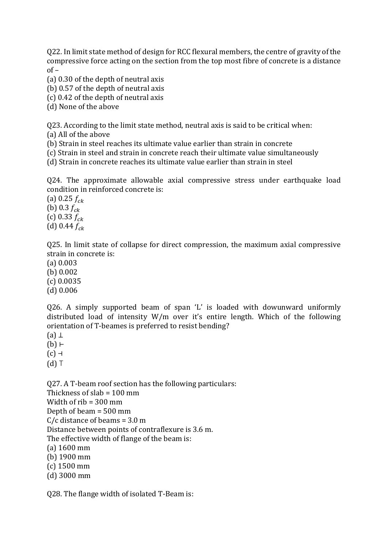Q22. In limit state method of design for RCC flexural members, the centre of gravity of the compressive force acting on the section from the top most fibre of concrete is a distance  $of -$ 

(a) 0.30 of the depth of neutral axis

(b) 0.57 of the depth of neutral axis

(c) 0.42 of the depth of neutral axis

(d) None of the above

Q23. According to the limit state method, neutral axis is said to be critical when: (a) All of the above

(b) Strain in steel reaches its ultimate value earlier than strain in concrete

(c) Strain in steel and strain in concrete reach their ultimate value simultaneously

(d) Strain in concrete reaches its ultimate value earlier than strain in steel

Q24. The approximate allowable axial compressive stress under earthquake load condition in reinforced concrete is:

(a) 0.25  $f_{ck}$ (b) 0.3  $f_{ck}$ (c) 0.33  $f_{ck}$ (d) 0.44  $f_{ck}$ 

Q25. In limit state of collapse for direct compression, the maximum axial compressive strain in concrete is:

(a) 0.003 (b) 0.002 (c) 0.0035 (d) 0.006

Q26. A simply supported beam of span 'L' is loaded with dowunward uniformly distributed load of intensity W/m over it's entire length. Which of the following orientation of T-beames is preferred to resist bending?

 $(a)$  ⊥

(b) ⊢

 $(c)$  ⊣

 $(d)$  T

Q27. A T-beam roof section has the following particulars: Thickness of slab = 100 mm Width of rib = 300 mm Depth of beam = 500 mm C/c distance of beams = 3.0 m Distance between points of contraflexure is 3.6 m. The effective width of flange of the beam is: (a) 1600 mm (b) 1900 mm (c) 1500 mm (d) 3000 mm

Q28. The flange width of isolated T-Beam is: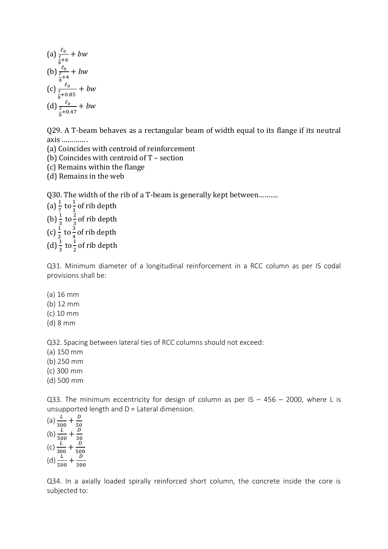(a) 
$$
\frac{\ell_0}{\frac{\ell}{b}+6}
$$
 + bw  
\n(b)  $\frac{\ell_0}{\frac{\ell_0}{b}+4}$  + bw  
\n(c)  $\frac{\ell_0}{\frac{\ell_0}{b}+0.85}$  + bw  
\n(d)  $\frac{\ell_0}{\frac{\ell_0}{b}+0.47}$  + bw

Q29. A T-beam behaves as a rectangular beam of width equal to its flange if its neutral axis ………… .

(a) Coincides with centroid of reinforcement

(b) Coincides with centroid of T – section

(c) Remains within the flange

(d) Remains in the web

Q30. The width of the rib of a T-beam is generally kept between……….

(a)  $\frac{1}{7}$  to  $\frac{1}{3}$  of rib depth (b)  $\frac{1}{3}$  to  $\frac{2}{3}$  of rib depth (c)  $\frac{1}{2}$  to  $\frac{3}{4}$  of rib depth (d)  $\frac{1}{3}$  to  $\frac{1}{2}$  of rib depth

Q31. Minimum diameter of a longitudinal reinforcement in a RCC column as per IS codal provisions shall be:

(a) 16 mm

(b) 12 mm

(c) 10 mm

(d) 8 mm

Q32. Spacing between lateral ties of RCC columns should not exceed:

(a) 150 mm

(b) 250 mm

(c) 300 mm

(d) 500 mm

Q33. The minimum eccentricity for design of column as per IS  $-$  456  $-$  2000, where L is unsupported length and D = Lateral dimension.

(a)  $\frac{L}{300} + \frac{D}{50}$ (b)  $\frac{L}{500} + \frac{D}{30}$ (c)  $\frac{L}{300} + \frac{30}{50}$ (d)  $\frac{L}{500} + \frac{D}{300}$ 300

Q34. In a axially loaded spirally reinforced short column, the concrete inside the core is subjected to: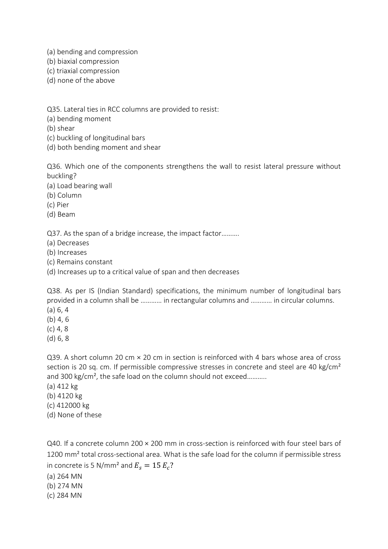- (a) bending and compression
- (b) biaxial compression
- (c) triaxial compression
- (d) none of the above

Q35. Lateral ties in RCC columns are provided to resist:

(a) bending moment

(b) shear

- (c) buckling of longitudinal bars
- (d) both bending moment and shear

Q36. Which one of the components strengthens the wall to resist lateral pressure without buckling?

(a) Load bearing wall

(b) Column

(c) Pier

(d) Beam

Q37. As the span of a bridge increase, the impact factor……….

(a) Decreases

(b) Increases

(c) Remains constant

(d) Increases up to a critical value of span and then decreases

Q38. As per IS (Indian Standard) specifications, the minimum number of longitudinal bars provided in a column shall be ………… in rectangular columns and ………… in circular columns.

(a) 6, 4

(b) 4, 6

- $(c)$  4, 8
- (d) 6, 8

Q39. A short column 20 cm × 20 cm in section is reinforced with 4 bars whose area of cross section is 20 sq. cm. If permissible compressive stresses in concrete and steel are 40 kg/cm<sup>2</sup> and 300 kg/cm<sup>2</sup>, the safe load on the column should not exceed...........

- (a) 412 kg
- (b) 4120 kg
- (c) 412000 kg
- (d) None of these

Q40. If a concrete column 200 × 200 mm in cross-section is reinforced with four steel bars of 1200 mm<sup>2</sup> total cross-sectional area. What is the safe load for the column if permissible stress in concrete is 5 N/mm<sup>2</sup> and  $E_s = 15 E_c$ ?

- (a) 264 MN
- (b) 274 MN
- (c) 284 MN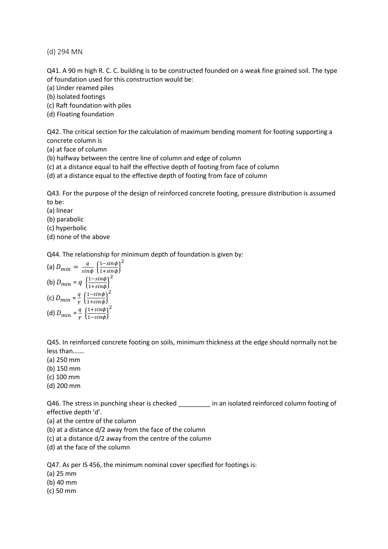(d) 294 MN

Q41. A 90 m high R. C. C. building is to be constructed founded on a weak fine grained soil. The type of foundation used for this construction would be:

- (a) Under reamed piles
- (b) Isolated footings
- (c) Raft foundation with piles
- (d) Floating foundation

Q42. The critical section for the calculation of maximum bending moment for footing supporting a concrete column is

- (a) at face of column
- (b) halfway between the centre line of column and edge of column
- (c) at a distance equal to half the effective depth of footing from face of column
- (d) at a distance equal to the effective depth of footing from face of column

Q43. For the purpose of the design of reinforced concrete footing, pressure distribution is assumed to be:

- (a) linear
- (b) parabolic
- (c) hyperbolic
- (d) none of the above

Q44. The relationship for minimum depth of foundation is given by:

(a) 
$$
D_{min} = \frac{q}{\sin\phi} \left\{ \frac{1 - \sin\phi}{1 + \sin\phi} \right\}^2
$$
  
\n(b)  $D_{min} = q \left\{ \frac{1 - \sin\phi}{1 + \sin\phi} \right\}^2$   
\n(c)  $D_{min} = \frac{q}{\gamma} \left\{ \frac{1 - \sin\phi}{1 + \sin\phi} \right\}^2$   
\n(d)  $D_{min} = \frac{q}{\gamma} \left\{ \frac{1 + \sin\phi}{1 - \sin\phi} \right\}^2$ 

Q45. In reinforced concrete footing on soils, minimum thickness at the edge should normally not be less than…….

- (a) 250 mm
- (b) 150 mm
- (c) 100 mm
- (d) 200 mm

Q46. The stress in punching shear is checked in an isolated reinforced column footing of effective depth 'd'.

- (a) at the centre of the column
- (b) at a distance d/2 away from the face of the column
- (c) at a distance d/2 away from the centre of the column
- (d) at the face of the column

Q47. As per IS 456, the minimum nominal cover specified for footings is:

- (a) 25 mm
- (b) 40 mm
- (c) 50 mm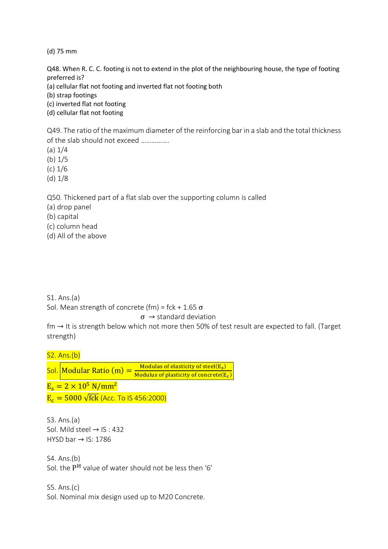(d) 75 mm

Q48. When R. C. C. footing is not to extend in the plot of the neighbouring house, the type of footing preferred is?

(a) cellular flat not footing and inverted flat not footing both

(b) strap footings

(c) inverted flat not footing

(d) cellular flat not footing

Q49. The ratio of the maximum diameter of the reinforcing bar in a slab and the total thickness of the slab should not exceed …………….

(a) 1/4

(b) 1/5

(c) 1/6

(d) 1/8

Q50. Thickened part of a flat slab over the supporting column is called

(a) drop panel

(b) capital

(c) column head

(d) All of the above

S1. Ans.(a)

Sol. Mean strength of concrete (fm) = fck + 1.65  $\sigma$ 

## $\sigma \rightarrow$  standard deviation

 $fm \rightarrow$  It is strength below which not more then 50% of test result are expected to fall. (Target strength)

S2. Ans.(b)

Sol. Modular Ratio  $(m) =$ Modulas of elasticity of steel(E<sub>s</sub>) Modulus of plasticity of concrete $(E_c)$  $E_s = 2 \times 10^5 \text{ N/mm}^2$ 

 $E_c = 5000 \sqrt{\text{fck}}$  (Acc. To IS 456:2000)

S3. Ans.(a) Sol. Mild steel  $→$  IS : 432 HYSD bar  $\rightarrow$  IS: 1786

S4. Ans.(b) Sol. the  $P^H$  value of water should not be less then '6'

S5. Ans.(c) Sol. Nominal mix design used up to M20 Concrete.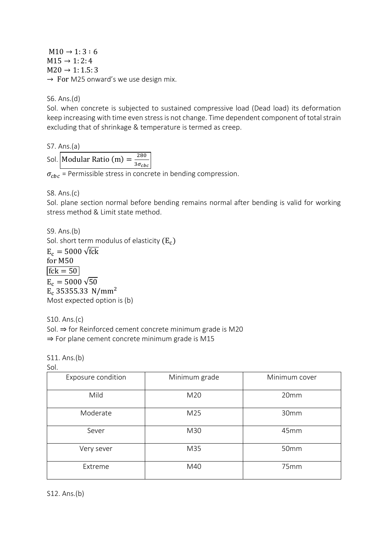$M10 \rightarrow 1:3:6$  $M15 \rightarrow 1:2:4$  $M20 \rightarrow 1: 1.5: 3$  $\rightarrow$  For M25 onward's we use design mix.

S6. Ans.(d)

Sol. when concrete is subjected to sustained compressive load (Dead load) its deformation keep increasing with time even stress is not change. Time dependent component of total strain excluding that of shrinkage & temperature is termed as creep.

S7. Ans.(a)

Sol. Modular Ratio (m) =  $\frac{280}{35}$  $3\sigma_{cbc}$ 

 $\sigma_{chc}$  = Permissible stress in concrete in bending compression.

S8. Ans.(c)

Sol. plane section normal before bending remains normal after bending is valid for working stress method & Limit state method.

S9. Ans.(b) Sol. short term modulus of elasticity  $(E_c)$  $E_c = 5000 \sqrt{\text{fck}}$ for M50  $fck = 50$  $E_c = 5000 \sqrt{50}$  $E_c$  35355.33 N/mm<sup>2</sup> Most expected option is (b)

S10. Ans.(c) Sol. ⇒ for Reinforced cement concrete minimum grade is M20 ⇒ For plane cement concrete minimum grade is M15

S11. Ans.(b)

Sol.

| Exposure condition | Minimum grade | Minimum cover |
|--------------------|---------------|---------------|
| Mild               | M20           | 20mm          |
| Moderate           | M25           | 30mm          |
| Sever              | M30           | 45mm          |
| Very sever         | M35           | 50mm          |
| Extreme            | M40           | 75mm          |

S12. Ans.(b)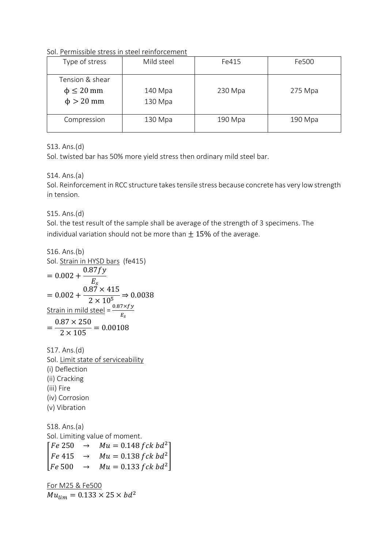Sol. Permissible stress in steel reinforcement

| Type of stress                                         | Mild steel         | Fe415   | Fe500   |  |
|--------------------------------------------------------|--------------------|---------|---------|--|
| Tension & shear<br>$\phi \leq 20$ mm<br>$\phi > 20$ mm | 140 Mpa<br>130 Mpa | 230 Mpa | 275 Mpa |  |
| Compression                                            | 130 Mpa            | 190 Mpa | 190 Mpa |  |

S13. Ans.(d)

Sol. twisted bar has 50% more yield stress then ordinary mild steel bar.

# S14. Ans.(a)

Sol. Reinforcement in RCC structure takes tensile stress because concrete has very low strength in tension.

S15. Ans.(d)

Sol. the test result of the sample shall be average of the strength of 3 specimens. The individual variation should not be more than  $\pm$  15% of the average.

S16. Ans.(b)  
\nSol. Strain in HYSD bars (fe415)  
\n= 
$$
0.002 + \frac{0.87fy}{E_s}
$$
  
\n=  $0.002 + \frac{0.87 \times 415}{2 \times 10^5} \Rightarrow 0.0038$   
\nStrain in mild steel =  $\frac{0.87 \times fy}{E_s}$   
\n=  $\frac{0.87 \times 250}{2 \times 105} = 0.00108$ 

S17. Ans.(d) Sol. Limit state of serviceability (i) Deflection (ii) Cracking (iii) Fire (iv) Corrosion (v) Vibration

S18. Ans.(a) Sol. Limiting value of moment.  $[Fe 415 \rightarrow Mu = 0.138 fck bd^2]$  $Fe 250 \rightarrow Mu = 0.148 fck bd^2$  $Fe 500 \rightarrow Mu = 0.133 fck bd^2$ 

For M25 & Fe500  $Mu_{lim} = 0.133 \times 25 \times bd^2$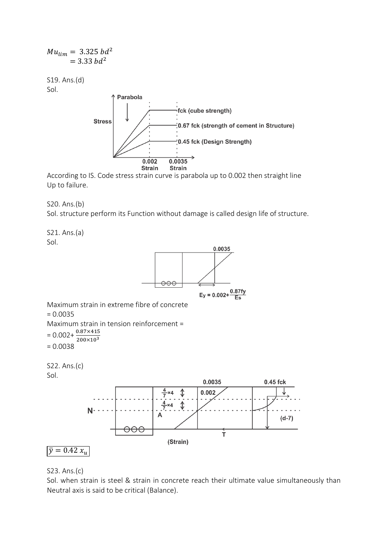

According to IS. Code stress strain curve is parabola up to 0.002 then straight line Up to failure.

S20. Ans.(b)

Sol. structure perform its Function without damage is called design life of structure.

S21. Ans.(a) Sol.



### S23. Ans.(c)

Sol. when strain is steel & strain in concrete reach their ultimate value simultaneously than Neutral axis is said to be critical (Balance).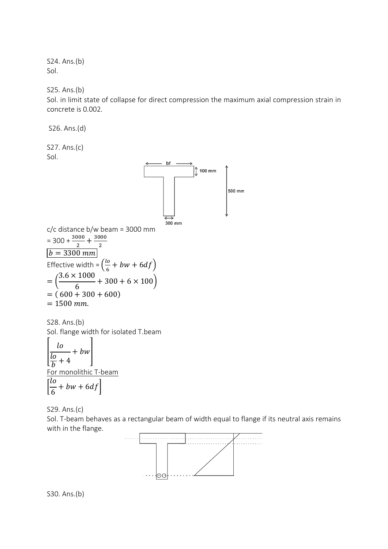S24. Ans.(b) Sol.

S25. Ans.(b)

Sol. in limit state of collapse for direct compression the maximum axial compression strain in concrete is 0.002.

S26. Ans.(d) S27. Ans.(c) Sol.  $\int$  100 mm 500 mm 300 mm c/c distance b/w beam = 3000 mm  $=$  300 +  $\frac{3000}{2}$  +  $\frac{3000}{2}$ 2  $b = 3300$  mm Effective width =  $\left(\frac{lo}{\epsilon}\right)$  $\frac{16}{6}$  + bw + 6df)  $3.6 \times 1000$ = (  $+300 + 6 \times 100$ 6  $= (600 + 300 + 600)$  $= 1500$  mm.

S28. Ans.(b) Sol. flange width for isolated T.beam [  $\iota$ lo  $\frac{16}{b}$  + 4  $+$  bw  $\vert$ For monolithic T-beam [ lo  $+ bw + 6df$ 

S29. Ans.(c)

6

Sol. T-beam behaves as a rectangular beam of width equal to flange if its neutral axis remains with in the flange.



S30. Ans.(b)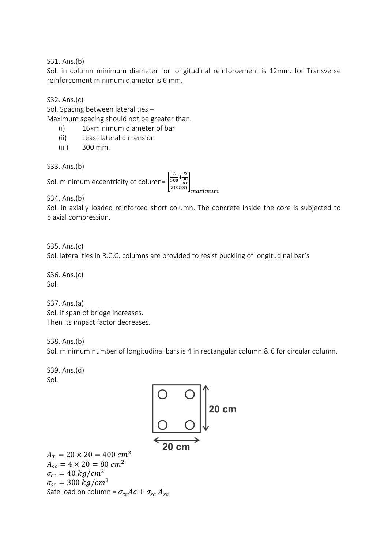S31. Ans.(b)

Sol. in column minimum diameter for longitudinal reinforcement is 12mm. for Transverse reinforcement minimum diameter is 6 mm.

S32. Ans.(c)

Sol. Spacing between lateral ties –

Maximum spacing should not be greater than.

- (i) 16×minimum diameter of bar
- (ii) Least lateral dimension
- (iii) 300 mm.

S33. Ans.(b)

Sol. minimum eccentricity of column= [

 $\begin{bmatrix} L & D \\ \frac{500}{30} & \frac{1}{20} \\ 20mm \end{bmatrix}$ <br>  $\begin{bmatrix} 20mm \\ maximum \end{bmatrix}$ 

S34. Ans.(b)

Sol. in axially loaded reinforced short column. The concrete inside the core is subjected to biaxial compression.

S35. Ans.(c) Sol. lateral ties in R.C.C. columns are provided to resist buckling of longitudinal bar's

S36. Ans.(c) Sol.

S37. Ans.(a) Sol. if span of bridge increases. Then its impact factor decreases.

S38. Ans.(b)

Sol. minimum number of longitudinal bars is 4 in rectangular column & 6 for circular column.

S39. Ans.(d) Sol.

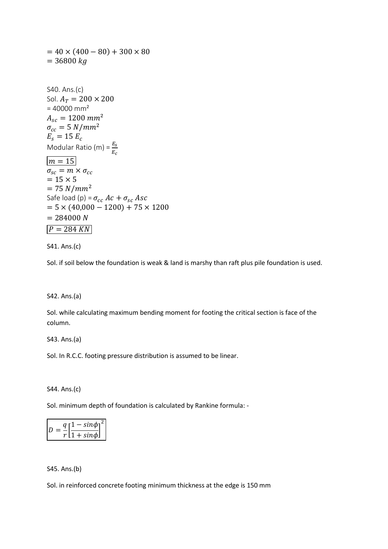$= 40 \times (400 - 80) + 300 \times 80$  $= 36800 kg$ S40. Ans.(c) Sol.  $A_T = 200 \times 200$  $= 40000$  mm<sup>2</sup>  $A_{sc} = 1200$   $mm^2$  $\sigma_{cc} = 5 N/mm^2$  $E_s = 15 E_c$ Modular Ratio (m) =  $\frac{E_s}{E_c}$  $m = 15$  $\sigma_{sc} = m \times \sigma_{cc}$  $= 15 \times 5$  $= 75 N/mm^2$ Safe load (p) =  $\sigma_{cc}$  Ac +  $\sigma_{sc}$  Asc  $= 5 \times (40,000 - 1200) + 75 \times 1200$  $= 284000 N$  $P = 284 KN$ 

S41. Ans.(c)

Sol. if soil below the foundation is weak & land is marshy than raft plus pile foundation is used.

#### S42. Ans.(a)

Sol. while calculating maximum bending moment for footing the critical section is face of the column.

S43. Ans.(a)

Sol. In R.C.C. footing pressure distribution is assumed to be linear.

S44. Ans.(c)

Sol. minimum depth of foundation is calculated by Rankine formula: -

| a El | $-sin\phi_1^2$               |
|------|------------------------------|
|      | $\left[1 + \sin \phi\right]$ |

S45. Ans.(b)

Sol. in reinforced concrete footing minimum thickness at the edge is 150 mm